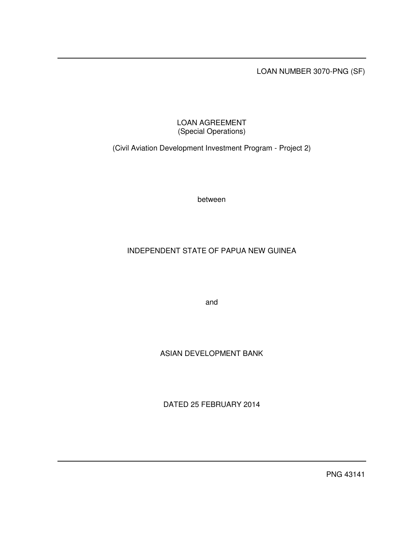LOAN NUMBER 3070-PNG (SF)

# LOAN AGREEMENT (Special Operations)

(Civil Aviation Development Investment Program - Project 2)

between

# INDEPENDENT STATE OF PAPUA NEW GUINEA

and

# ASIAN DEVELOPMENT BANK

DATED 25 FEBRUARY 2014

PNG 43141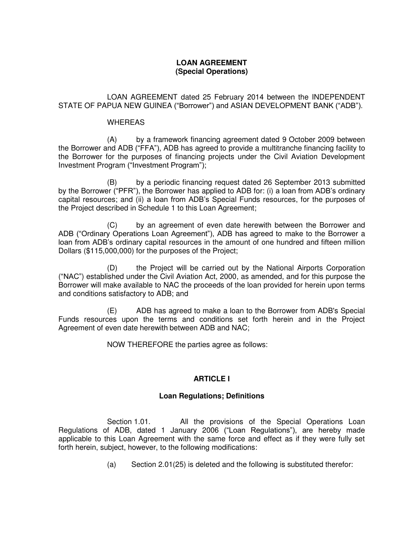## **LOAN AGREEMENT (Special Operations)**

LOAN AGREEMENT dated 25 February 2014 between the INDEPENDENT STATE OF PAPUA NEW GUINEA ("Borrower") and ASIAN DEVELOPMENT BANK ("ADB").

### WHEREAS

(A) by a framework financing agreement dated 9 October 2009 between the Borrower and ADB ("FFA"), ADB has agreed to provide a multitranche financing facility to the Borrower for the purposes of financing projects under the Civil Aviation Development Investment Program ("Investment Program");

(B) by a periodic financing request dated 26 September 2013 submitted by the Borrower ("PFR"), the Borrower has applied to ADB for: (i) a loan from ADB's ordinary capital resources; and (ii) a loan from ADB's Special Funds resources, for the purposes of the Project described in Schedule 1 to this Loan Agreement;

(C) by an agreement of even date herewith between the Borrower and ADB ("Ordinary Operations Loan Agreement"), ADB has agreed to make to the Borrower a loan from ADB's ordinary capital resources in the amount of one hundred and fifteen million Dollars (\$115,000,000) for the purposes of the Project;

(D) the Project will be carried out by the National Airports Corporation ("NAC") established under the Civil Aviation Act, 2000, as amended, and for this purpose the Borrower will make available to NAC the proceeds of the loan provided for herein upon terms and conditions satisfactory to ADB; and

(E) ADB has agreed to make a loan to the Borrower from ADB's Special Funds resources upon the terms and conditions set forth herein and in the Project Agreement of even date herewith between ADB and NAC;

NOW THEREFORE the parties agree as follows:

# **ARTICLE I**

## **Loan Regulations; Definitions**

Section 1.01. All the provisions of the Special Operations Loan Regulations of ADB, dated 1 January 2006 ("Loan Regulations"), are hereby made applicable to this Loan Agreement with the same force and effect as if they were fully set forth herein, subject, however, to the following modifications:

(a) Section 2.01(25) is deleted and the following is substituted therefor: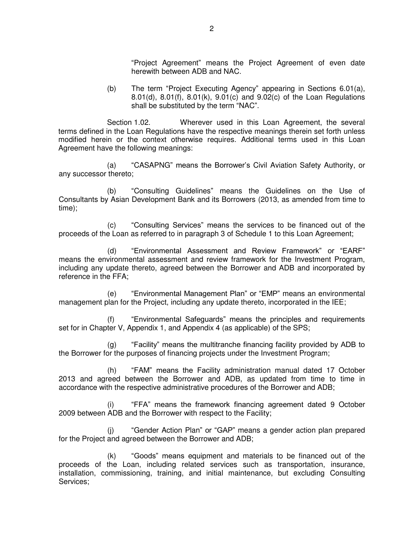"Project Agreement" means the Project Agreement of even date herewith between ADB and NAC.

(b) The term "Project Executing Agency" appearing in Sections 6.01(a), 8.01(d), 8.01(f), 8.01(k), 9.01(c) and 9.02(c) of the Loan Regulations shall be substituted by the term "NAC".

Section 1.02. Wherever used in this Loan Agreement, the several terms defined in the Loan Regulations have the respective meanings therein set forth unless modified herein or the context otherwise requires. Additional terms used in this Loan Agreement have the following meanings:

(a) "CASAPNG" means the Borrower's Civil Aviation Safety Authority, or any successor thereto;

(b) "Consulting Guidelines" means the Guidelines on the Use of Consultants by Asian Development Bank and its Borrowers (2013, as amended from time to time);

(c) "Consulting Services" means the services to be financed out of the proceeds of the Loan as referred to in paragraph 3 of Schedule 1 to this Loan Agreement;

(d) "Environmental Assessment and Review Framework" or "EARF" means the environmental assessment and review framework for the Investment Program, including any update thereto, agreed between the Borrower and ADB and incorporated by reference in the FFA;

(e) "Environmental Management Plan" or "EMP" means an environmental management plan for the Project, including any update thereto, incorporated in the IEE;

(f) "Environmental Safeguards" means the principles and requirements set for in Chapter V, Appendix 1, and Appendix 4 (as applicable) of the SPS;

(g) "Facility" means the multitranche financing facility provided by ADB to the Borrower for the purposes of financing projects under the Investment Program;

(h) "FAM" means the Facility administration manual dated 17 October 2013 and agreed between the Borrower and ADB, as updated from time to time in accordance with the respective administrative procedures of the Borrower and ADB;

(i) "FFA" means the framework financing agreement dated 9 October 2009 between ADB and the Borrower with respect to the Facility;

(j) "Gender Action Plan" or "GAP" means a gender action plan prepared for the Project and agreed between the Borrower and ADB;

(k) "Goods" means equipment and materials to be financed out of the proceeds of the Loan, including related services such as transportation, insurance, installation, commissioning, training, and initial maintenance, but excluding Consulting Services;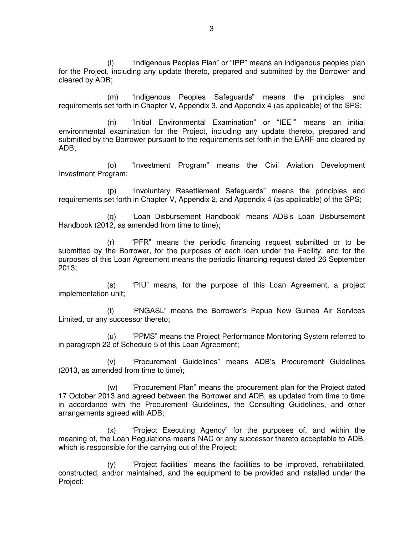(l) "Indigenous Peoples Plan" or "IPP" means an indigenous peoples plan for the Project, including any update thereto, prepared and submitted by the Borrower and cleared by ADB;

(m) "Indigenous Peoples Safeguards" means the principles and requirements set forth in Chapter V, Appendix 3, and Appendix 4 (as applicable) of the SPS;

(n) "Initial Environmental Examination" or "IEE"" means an initial environmental examination for the Project, including any update thereto, prepared and submitted by the Borrower pursuant to the requirements set forth in the EARF and cleared by ADB;

(o) "Investment Program" means the Civil Aviation Development Investment Program;

(p) "Involuntary Resettlement Safeguards" means the principles and requirements set forth in Chapter V, Appendix 2, and Appendix 4 (as applicable) of the SPS;

(q) "Loan Disbursement Handbook" means ADB's Loan Disbursement Handbook (2012, as amended from time to time);

(r) "PFR" means the periodic financing request submitted or to be submitted by the Borrower, for the purposes of each loan under the Facility, and for the purposes of this Loan Agreement means the periodic financing request dated 26 September 2013;

(s) "PIU" means, for the purpose of this Loan Agreement, a project implementation unit;

(t) "PNGASL" means the Borrower's Papua New Guinea Air Services Limited, or any successor thereto;

(u) "PPMS" means the Project Performance Monitoring System referred to in paragraph 22 of Schedule 5 of this Loan Agreement;

(v) "Procurement Guidelines" means ADB's Procurement Guidelines (2013, as amended from time to time);

(w) "Procurement Plan" means the procurement plan for the Project dated 17 October 2013 and agreed between the Borrower and ADB, as updated from time to time in accordance with the Procurement Guidelines, the Consulting Guidelines, and other arrangements agreed with ADB;

(x) "Project Executing Agency" for the purposes of, and within the meaning of, the Loan Regulations means NAC or any successor thereto acceptable to ADB, which is responsible for the carrying out of the Project;

(y) "Project facilities" means the facilities to be improved, rehabilitated, constructed, and/or maintained, and the equipment to be provided and installed under the Project;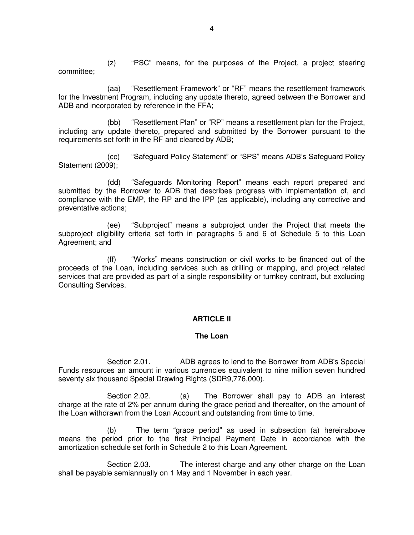(z) "PSC" means, for the purposes of the Project, a project steering committee;

(aa) "Resettlement Framework" or "RF" means the resettlement framework for the Investment Program, including any update thereto, agreed between the Borrower and ADB and incorporated by reference in the FFA;

(bb) "Resettlement Plan" or "RP" means a resettlement plan for the Project, including any update thereto, prepared and submitted by the Borrower pursuant to the requirements set forth in the RF and cleared by ADB;

(cc) "Safeguard Policy Statement" or "SPS" means ADB's Safeguard Policy Statement (2009);

(dd) "Safeguards Monitoring Report" means each report prepared and submitted by the Borrower to ADB that describes progress with implementation of, and compliance with the EMP, the RP and the IPP (as applicable), including any corrective and preventative actions;

(ee) "Subproject" means a subproject under the Project that meets the subproject eligibility criteria set forth in paragraphs 5 and 6 of Schedule 5 to this Loan Agreement; and

(ff) "Works" means construction or civil works to be financed out of the proceeds of the Loan, including services such as drilling or mapping, and project related services that are provided as part of a single responsibility or turnkey contract, but excluding Consulting Services.

### **ARTICLE II**

### **The Loan**

Section 2.01. ADB agrees to lend to the Borrower from ADB's Special Funds resources an amount in various currencies equivalent to nine million seven hundred seventy six thousand Special Drawing Rights (SDR9,776,000).

Section 2.02. (a) The Borrower shall pay to ADB an interest charge at the rate of 2% per annum during the grace period and thereafter, on the amount of the Loan withdrawn from the Loan Account and outstanding from time to time.

(b) The term "grace period" as used in subsection (a) hereinabove means the period prior to the first Principal Payment Date in accordance with the amortization schedule set forth in Schedule 2 to this Loan Agreement.

Section 2.03. The interest charge and any other charge on the Loan shall be payable semiannually on 1 May and 1 November in each year.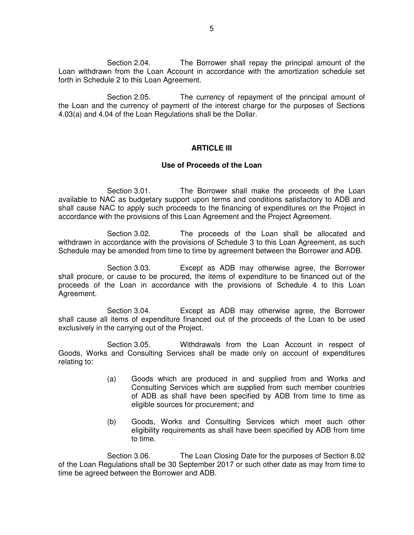Section 2.04. The Borrower shall repay the principal amount of the Loan withdrawn from the Loan Account in accordance with the amortization schedule set forth in Schedule 2 to this Loan Agreement.

Section 2.05. The currency of repayment of the principal amount of the Loan and the currency of payment of the interest charge for the purposes of Sections 4.03(a) and 4.04 of the Loan Regulations shall be the Dollar.

### **ARTICLE III**

### **Use of Proceeds of the Loan**

Section 3.01. The Borrower shall make the proceeds of the Loan available to NAC as budgetary support upon terms and conditions satisfactory to ADB and shall cause NAC to apply such proceeds to the financing of expenditures on the Project in accordance with the provisions of this Loan Agreement and the Project Agreement.

Section 3.02. The proceeds of the Loan shall be allocated and withdrawn in accordance with the provisions of Schedule 3 to this Loan Agreement, as such Schedule may be amended from time to time by agreement between the Borrower and ADB.

Section 3.03. Except as ADB may otherwise agree, the Borrower shall procure, or cause to be procured, the items of expenditure to be financed out of the proceeds of the Loan in accordance with the provisions of Schedule 4 to this Loan Agreement.

Section 3.04. Except as ADB may otherwise agree, the Borrower shall cause all items of expenditure financed out of the proceeds of the Loan to be used exclusively in the carrying out of the Project.

Section 3.05. Withdrawals from the Loan Account in respect of Goods, Works and Consulting Services shall be made only on account of expenditures relating to:

- (a) Goods which are produced in and supplied from and Works and Consulting Services which are supplied from such member countries of ADB as shall have been specified by ADB from time to time as eligible sources for procurement; and
- (b) Goods, Works and Consulting Services which meet such other eligibility requirements as shall have been specified by ADB from time to time.

Section 3.06. The Loan Closing Date for the purposes of Section 8.02 of the Loan Regulations shall be 30 September 2017 or such other date as may from time to time be agreed between the Borrower and ADB.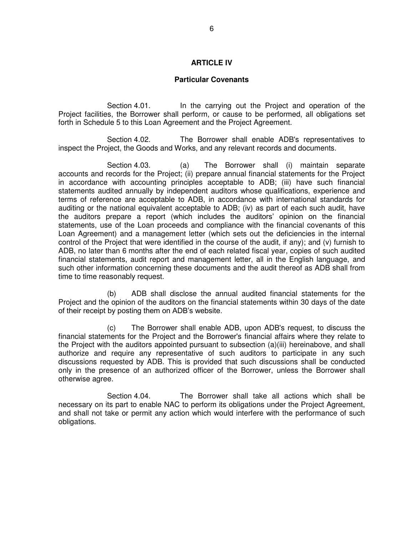### **ARTICLE IV**

#### **Particular Covenants**

Section 4.01. In the carrying out the Project and operation of the Project facilities, the Borrower shall perform, or cause to be performed, all obligations set forth in Schedule 5 to this Loan Agreement and the Project Agreement.

Section 4.02. The Borrower shall enable ADB's representatives to inspect the Project, the Goods and Works, and any relevant records and documents.

Section 4.03. (a) The Borrower shall (i) maintain separate accounts and records for the Project; (ii) prepare annual financial statements for the Project in accordance with accounting principles acceptable to ADB; (iii) have such financial statements audited annually by independent auditors whose qualifications, experience and terms of reference are acceptable to ADB, in accordance with international standards for auditing or the national equivalent acceptable to ADB; (iv) as part of each such audit, have the auditors prepare a report (which includes the auditors' opinion on the financial statements, use of the Loan proceeds and compliance with the financial covenants of this Loan Agreement) and a management letter (which sets out the deficiencies in the internal control of the Project that were identified in the course of the audit, if any); and (v) furnish to ADB, no later than 6 months after the end of each related fiscal year, copies of such audited financial statements, audit report and management letter, all in the English language, and such other information concerning these documents and the audit thereof as ADB shall from time to time reasonably request.

 (b) ADB shall disclose the annual audited financial statements for the Project and the opinion of the auditors on the financial statements within 30 days of the date of their receipt by posting them on ADB's website.

 (c) The Borrower shall enable ADB, upon ADB's request, to discuss the financial statements for the Project and the Borrower's financial affairs where they relate to the Project with the auditors appointed pursuant to subsection (a)(iii) hereinabove, and shall authorize and require any representative of such auditors to participate in any such discussions requested by ADB. This is provided that such discussions shall be conducted only in the presence of an authorized officer of the Borrower, unless the Borrower shall otherwise agree.

Section 4.04. The Borrower shall take all actions which shall be necessary on its part to enable NAC to perform its obligations under the Project Agreement, and shall not take or permit any action which would interfere with the performance of such obligations.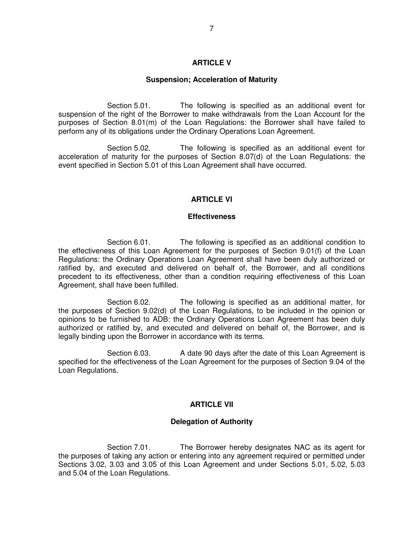#### **ARTICLE V**

#### **Suspension; Acceleration of Maturity**

Section 5.01. The following is specified as an additional event for suspension of the right of the Borrower to make withdrawals from the Loan Account for the purposes of Section 8.01(m) of the Loan Regulations: the Borrower shall have failed to perform any of its obligations under the Ordinary Operations Loan Agreement.

Section 5.02. The following is specified as an additional event for acceleration of maturity for the purposes of Section 8.07(d) of the Loan Regulations: the event specified in Section 5.01 of this Loan Agreement shall have occurred.

#### **ARTICLE VI**

#### **Effectiveness**

Section 6.01. The following is specified as an additional condition to the effectiveness of this Loan Agreement for the purposes of Section 9.01(f) of the Loan Regulations: the Ordinary Operations Loan Agreement shall have been duly authorized or ratified by, and executed and delivered on behalf of, the Borrower, and all conditions precedent to its effectiveness, other than a condition requiring effectiveness of this Loan Agreement, shall have been fulfilled.

Section 6.02. The following is specified as an additional matter, for the purposes of Section 9.02(d) of the Loan Regulations, to be included in the opinion or opinions to be furnished to ADB: the Ordinary Operations Loan Agreement has been duly authorized or ratified by, and executed and delivered on behalf of, the Borrower, and is legally binding upon the Borrower in accordance with its terms.

Section 6.03. A date 90 days after the date of this Loan Agreement is specified for the effectiveness of the Loan Agreement for the purposes of Section 9.04 of the Loan Regulations.

#### **ARTICLE VII**

#### **Delegation of Authority**

Section 7.01. The Borrower hereby designates NAC as its agent for the purposes of taking any action or entering into any agreement required or permitted under Sections 3.02, 3.03 and 3.05 of this Loan Agreement and under Sections 5.01, 5.02, 5.03 and 5.04 of the Loan Regulations.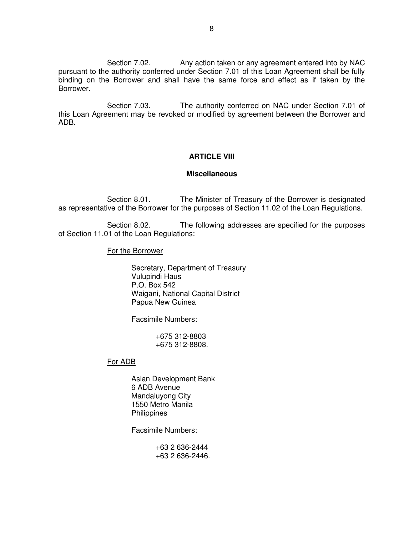Section 7.02. Any action taken or any agreement entered into by NAC pursuant to the authority conferred under Section 7.01 of this Loan Agreement shall be fully binding on the Borrower and shall have the same force and effect as if taken by the Borrower.

Section 7.03. The authority conferred on NAC under Section 7.01 of this Loan Agreement may be revoked or modified by agreement between the Borrower and ADB.

## **ARTICLE VIII**

### **Miscellaneous**

 Section 8.01. The Minister of Treasury of the Borrower is designated as representative of the Borrower for the purposes of Section 11.02 of the Loan Regulations.

Section 8.02. The following addresses are specified for the purposes of Section 11.01 of the Loan Regulations:

#### For the Borrower

 Secretary, Department of Treasury Vulupindi Haus P.O. Box 542 Waigani, National Capital District Papua New Guinea

Facsimile Numbers:

 +675 312-8803 +675 312-8808.

### For ADB

 Asian Development Bank 6 ADB Avenue Mandaluyong City 1550 Metro Manila **Philippines** 

Facsimile Numbers:

 +63 2 636-2444 +63 2 636-2446.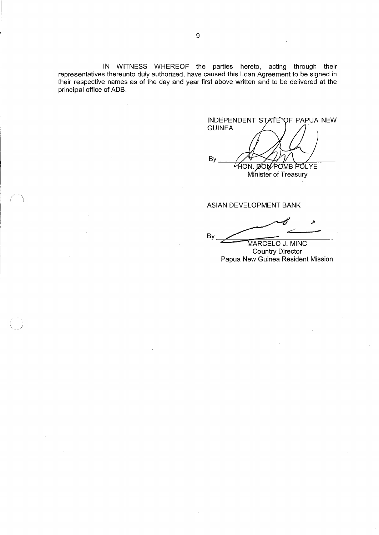IN WITNESS WHEREOF the parties hereto, acting through their<br>representatives thereunto duly authorized, have caused this Loan Agreement to be signed in<br>their respective names as of the day and year first above written and t principal office of ADB.

**INDEPENDENT STATE** OF PAPUA NEW **GUINEA** By HON. DON POINB POLYE Minister of Treasury

ASIAN DEVELOPMENT BANK

By MARCELO J. MINC

**Country Director** Papua New Guinea Resident Mission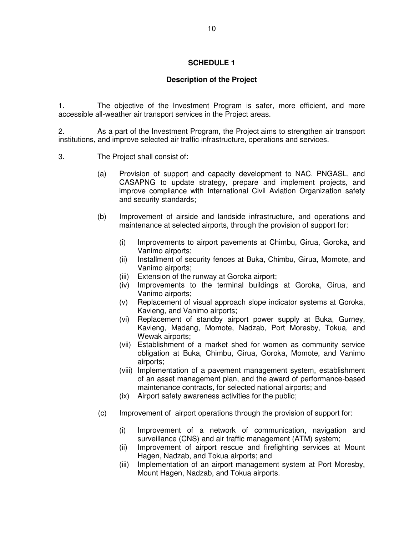# **Description of the Project**

1. The objective of the Investment Program is safer, more efficient, and more accessible all-weather air transport services in the Project areas.

2. As a part of the Investment Program, the Project aims to strengthen air transport institutions, and improve selected air traffic infrastructure, operations and services.

- 3. The Project shall consist of:
	- (a) Provision of support and capacity development to NAC, PNGASL, and CASAPNG to update strategy, prepare and implement projects, and improve compliance with International Civil Aviation Organization safety and security standards;
	- (b) Improvement of airside and landside infrastructure, and operations and maintenance at selected airports, through the provision of support for:
		- (i) Improvements to airport pavements at Chimbu, Girua, Goroka, and Vanimo airports;
		- (ii) Installment of security fences at Buka, Chimbu, Girua, Momote, and Vanimo airports;
		- (iii) Extension of the runway at Goroka airport;
		- (iv) Improvements to the terminal buildings at Goroka, Girua, and Vanimo airports;
		- (v) Replacement of visual approach slope indicator systems at Goroka, Kavieng, and Vanimo airports;
		- (vi) Replacement of standby airport power supply at Buka, Gurney, Kavieng, Madang, Momote, Nadzab, Port Moresby, Tokua, and Wewak airports:
		- (vii) Establishment of a market shed for women as community service obligation at Buka, Chimbu, Girua, Goroka, Momote, and Vanimo airports;
		- (viii) Implementation of a pavement management system, establishment of an asset management plan, and the award of performance-based maintenance contracts, for selected national airports; and
		- (ix) Airport safety awareness activities for the public;
	- (c) Improvement of airport operations through the provision of support for:
		- (i) Improvement of a network of communication, navigation and surveillance (CNS) and air traffic management (ATM) system;
		- (ii) Improvement of airport rescue and firefighting services at Mount Hagen, Nadzab, and Tokua airports; and
		- (iii) Implementation of an airport management system at Port Moresby, Mount Hagen, Nadzab, and Tokua airports.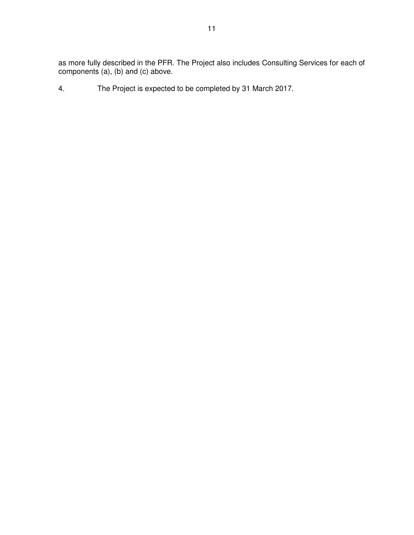as more fully described in the PFR. The Project also includes Consulting Services for each of components (a), (b) and (c) above.

4. The Project is expected to be completed by 31 March 2017.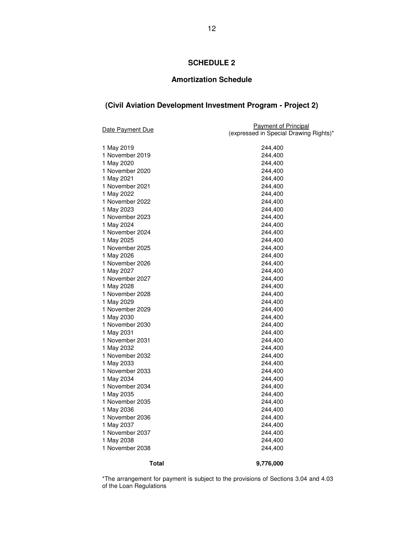## **Amortization Schedule**

# **(Civil Aviation Development Investment Program - Project 2)**

| <b>Date Payment Due</b>       | <b>Payment of Principal</b><br>(expressed in Special Drawing Rights)* |  |  |
|-------------------------------|-----------------------------------------------------------------------|--|--|
|                               |                                                                       |  |  |
| 1 May 2019                    | 244,400                                                               |  |  |
| 1 November 2019               | 244,400                                                               |  |  |
| 1 May 2020                    | 244,400                                                               |  |  |
| 1 November 2020<br>1 May 2021 | 244,400<br>244,400                                                    |  |  |
| 1 November 2021               | 244,400                                                               |  |  |
| 1 May 2022                    | 244,400                                                               |  |  |
| 1 November 2022               | 244,400                                                               |  |  |
| 1 May 2023                    | 244,400                                                               |  |  |
| 1 November 2023               | 244,400                                                               |  |  |
| 1 May 2024                    | 244,400                                                               |  |  |
| 1 November 2024               | 244,400                                                               |  |  |
| 1 May 2025                    | 244,400                                                               |  |  |
| 1 November 2025               | 244,400                                                               |  |  |
| 1 May 2026                    | 244,400                                                               |  |  |
| 1 November 2026               | 244,400                                                               |  |  |
| 1 May 2027                    | 244,400                                                               |  |  |
| 1 November 2027               | 244,400                                                               |  |  |
| 1 May 2028                    | 244,400                                                               |  |  |
| 1 November 2028               | 244,400                                                               |  |  |
| 1 May 2029                    | 244,400                                                               |  |  |
| 1 November 2029               | 244,400                                                               |  |  |
| 1 May 2030                    | 244,400                                                               |  |  |
| 1 November 2030               | 244,400                                                               |  |  |
| 1 May 2031                    | 244,400                                                               |  |  |
| 1 November 2031               | 244,400                                                               |  |  |
| 1 May 2032                    | 244,400                                                               |  |  |
| 1 November 2032               | 244,400                                                               |  |  |
| 1 May 2033                    | 244,400                                                               |  |  |
| 1 November 2033               | 244,400                                                               |  |  |
| 1 May 2034                    | 244,400                                                               |  |  |
| 1 November 2034<br>1 May 2035 | 244,400                                                               |  |  |
| 1 November 2035               | 244,400<br>244,400                                                    |  |  |
| 1 May 2036                    | 244,400                                                               |  |  |
| 1 November 2036               | 244,400                                                               |  |  |
| 1 May 2037                    | 244,400                                                               |  |  |
| 1 November 2037               | 244,400                                                               |  |  |
| 1 May 2038                    | 244,400                                                               |  |  |
| 1 November 2038               | 244,400                                                               |  |  |
|                               |                                                                       |  |  |
| <b>Total</b>                  | 9,776,000                                                             |  |  |

\*The arrangement for payment is subject to the provisions of Sections 3.04 and 4.03 of the Loan Regulations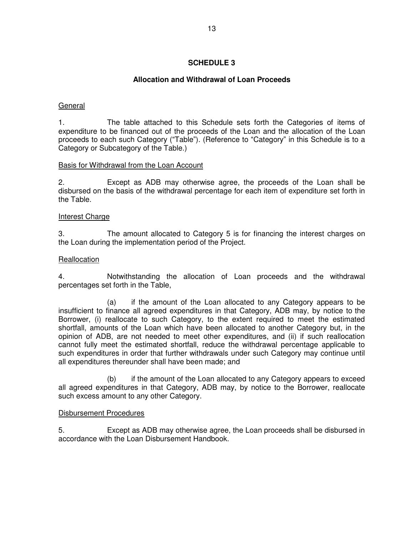# **Allocation and Withdrawal of Loan Proceeds**

## General

1. The table attached to this Schedule sets forth the Categories of items of expenditure to be financed out of the proceeds of the Loan and the allocation of the Loan proceeds to each such Category ("Table"). (Reference to "Category" in this Schedule is to a Category or Subcategory of the Table.)

## Basis for Withdrawal from the Loan Account

2. Except as ADB may otherwise agree, the proceeds of the Loan shall be disbursed on the basis of the withdrawal percentage for each item of expenditure set forth in the Table.

### Interest Charge

3. The amount allocated to Category 5 is for financing the interest charges on the Loan during the implementation period of the Project.

## **Reallocation**

4. Notwithstanding the allocation of Loan proceeds and the withdrawal percentages set forth in the Table,

 (a) if the amount of the Loan allocated to any Category appears to be insufficient to finance all agreed expenditures in that Category, ADB may, by notice to the Borrower, (i) reallocate to such Category, to the extent required to meet the estimated shortfall, amounts of the Loan which have been allocated to another Category but, in the opinion of ADB, are not needed to meet other expenditures, and (ii) if such reallocation cannot fully meet the estimated shortfall, reduce the withdrawal percentage applicable to such expenditures in order that further withdrawals under such Category may continue until all expenditures thereunder shall have been made; and

 (b) if the amount of the Loan allocated to any Category appears to exceed all agreed expenditures in that Category, ADB may, by notice to the Borrower, reallocate such excess amount to any other Category.

### Disbursement Procedures

5. Except as ADB may otherwise agree, the Loan proceeds shall be disbursed in accordance with the Loan Disbursement Handbook.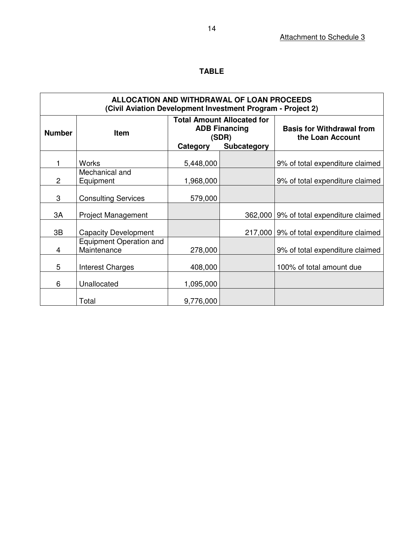# **TABLE**

| ALLOCATION AND WITHDRAWAL OF LOAN PROCEEDS<br>(Civil Aviation Development Investment Program - Project 2) |                                               |                                                                                                      |         |                                                      |  |
|-----------------------------------------------------------------------------------------------------------|-----------------------------------------------|------------------------------------------------------------------------------------------------------|---------|------------------------------------------------------|--|
| <b>Number</b>                                                                                             | Item                                          | <b>Total Amount Allocated for</b><br><b>ADB Financing</b><br>(SDR)<br><b>Subcategory</b><br>Category |         | <b>Basis for Withdrawal from</b><br>the Loan Account |  |
|                                                                                                           |                                               |                                                                                                      |         |                                                      |  |
|                                                                                                           | <b>Works</b>                                  | 5,448,000                                                                                            |         | 9% of total expenditure claimed                      |  |
| $\overline{c}$                                                                                            | Mechanical and<br>Equipment                   | 1,968,000                                                                                            |         | 9% of total expenditure claimed                      |  |
| 3                                                                                                         | <b>Consulting Services</b>                    | 579,000                                                                                              |         |                                                      |  |
| 3A                                                                                                        | <b>Project Management</b>                     |                                                                                                      | 362,000 | 9% of total expenditure claimed                      |  |
| 3B                                                                                                        | <b>Capacity Development</b>                   |                                                                                                      | 217,000 | 9% of total expenditure claimed                      |  |
| 4                                                                                                         | <b>Equipment Operation and</b><br>Maintenance | 278,000                                                                                              |         | 9% of total expenditure claimed                      |  |
| 5                                                                                                         | Interest Charges                              | 408,000                                                                                              |         | 100% of total amount due                             |  |
| 6                                                                                                         | Unallocated                                   | 1,095,000                                                                                            |         |                                                      |  |
|                                                                                                           | Total                                         | 9,776,000                                                                                            |         |                                                      |  |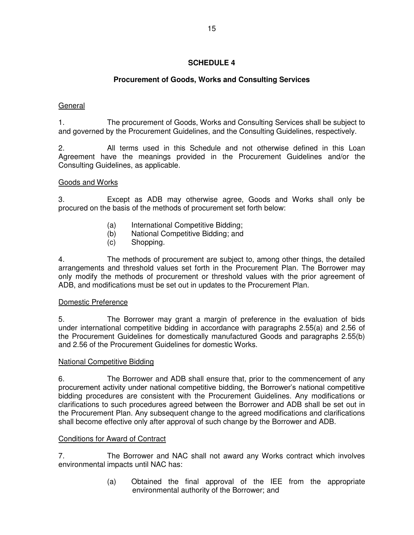# **Procurement of Goods, Works and Consulting Services**

# General

1. The procurement of Goods, Works and Consulting Services shall be subject to and governed by the Procurement Guidelines, and the Consulting Guidelines, respectively.

2. All terms used in this Schedule and not otherwise defined in this Loan Agreement have the meanings provided in the Procurement Guidelines and/or the Consulting Guidelines, as applicable.

## Goods and Works

3. Except as ADB may otherwise agree, Goods and Works shall only be procured on the basis of the methods of procurement set forth below:

- (a) International Competitive Bidding;
- (b) National Competitive Bidding; and
- (c) Shopping.

4. The methods of procurement are subject to, among other things, the detailed arrangements and threshold values set forth in the Procurement Plan. The Borrower may only modify the methods of procurement or threshold values with the prior agreement of ADB, and modifications must be set out in updates to the Procurement Plan.

## Domestic Preference

5. The Borrower may grant a margin of preference in the evaluation of bids under international competitive bidding in accordance with paragraphs 2.55(a) and 2.56 of the Procurement Guidelines for domestically manufactured Goods and paragraphs 2.55(b) and 2.56 of the Procurement Guidelines for domestic Works.

## National Competitive Bidding

6. The Borrower and ADB shall ensure that, prior to the commencement of any procurement activity under national competitive bidding, the Borrower's national competitive bidding procedures are consistent with the Procurement Guidelines. Any modifications or clarifications to such procedures agreed between the Borrower and ADB shall be set out in the Procurement Plan. Any subsequent change to the agreed modifications and clarifications shall become effective only after approval of such change by the Borrower and ADB.

### Conditions for Award of Contract

7. The Borrower and NAC shall not award any Works contract which involves environmental impacts until NAC has:

> (a) Obtained the final approval of the IEE from the appropriate environmental authority of the Borrower; and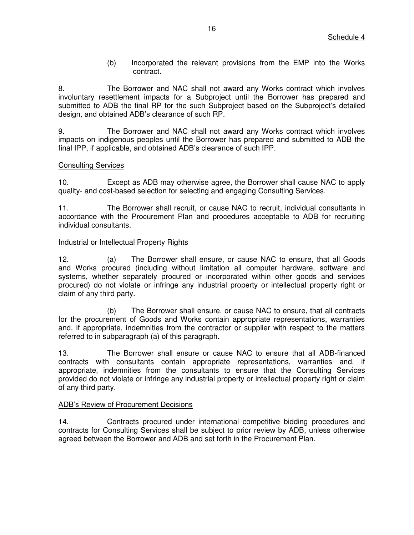(b) Incorporated the relevant provisions from the EMP into the Works contract.

8. The Borrower and NAC shall not award any Works contract which involves involuntary resettlement impacts for a Subproject until the Borrower has prepared and submitted to ADB the final RP for the such Subproject based on the Subproject's detailed design, and obtained ADB's clearance of such RP.

9. The Borrower and NAC shall not award any Works contract which involves impacts on indigenous peoples until the Borrower has prepared and submitted to ADB the final IPP, if applicable, and obtained ADB's clearance of such IPP.

## Consulting Services

10. Except as ADB may otherwise agree, the Borrower shall cause NAC to apply quality- and cost-based selection for selecting and engaging Consulting Services.

11. The Borrower shall recruit, or cause NAC to recruit, individual consultants in accordance with the Procurement Plan and procedures acceptable to ADB for recruiting individual consultants.

## Industrial or Intellectual Property Rights

12. (a) The Borrower shall ensure, or cause NAC to ensure, that all Goods and Works procured (including without limitation all computer hardware, software and systems, whether separately procured or incorporated within other goods and services procured) do not violate or infringe any industrial property or intellectual property right or claim of any third party.

(b) The Borrower shall ensure, or cause NAC to ensure, that all contracts for the procurement of Goods and Works contain appropriate representations, warranties and, if appropriate, indemnities from the contractor or supplier with respect to the matters referred to in subparagraph (a) of this paragraph.

13. The Borrower shall ensure or cause NAC to ensure that all ADB-financed contracts with consultants contain appropriate representations, warranties and, if appropriate, indemnities from the consultants to ensure that the Consulting Services provided do not violate or infringe any industrial property or intellectual property right or claim of any third party.

### ADB's Review of Procurement Decisions

14. Contracts procured under international competitive bidding procedures and contracts for Consulting Services shall be subject to prior review by ADB, unless otherwise agreed between the Borrower and ADB and set forth in the Procurement Plan.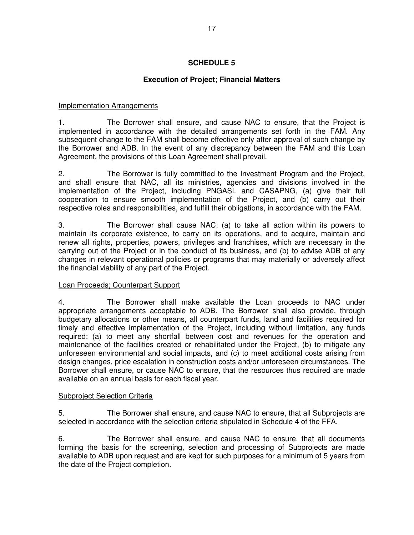# **Execution of Project; Financial Matters**

## Implementation Arrangements

1. The Borrower shall ensure, and cause NAC to ensure, that the Project is implemented in accordance with the detailed arrangements set forth in the FAM. Any subsequent change to the FAM shall become effective only after approval of such change by the Borrower and ADB. In the event of any discrepancy between the FAM and this Loan Agreement, the provisions of this Loan Agreement shall prevail.

2. The Borrower is fully committed to the Investment Program and the Project, and shall ensure that NAC, all its ministries, agencies and divisions involved in the implementation of the Project, including PNGASL and CASAPNG, (a) give their full cooperation to ensure smooth implementation of the Project, and (b) carry out their respective roles and responsibilities, and fulfill their obligations, in accordance with the FAM.

3. The Borrower shall cause NAC: (a) to take all action within its powers to maintain its corporate existence, to carry on its operations, and to acquire, maintain and renew all rights, properties, powers, privileges and franchises, which are necessary in the carrying out of the Project or in the conduct of its business, and (b) to advise ADB of any changes in relevant operational policies or programs that may materially or adversely affect the financial viability of any part of the Project.

### Loan Proceeds; Counterpart Support

4. The Borrower shall make available the Loan proceeds to NAC under appropriate arrangements acceptable to ADB. The Borrower shall also provide, through budgetary allocations or other means, all counterpart funds, land and facilities required for timely and effective implementation of the Project, including without limitation, any funds required: (a) to meet any shortfall between cost and revenues for the operation and maintenance of the facilities created or rehabilitated under the Project, (b) to mitigate any unforeseen environmental and social impacts, and (c) to meet additional costs arising from design changes, price escalation in construction costs and/or unforeseen circumstances. The Borrower shall ensure, or cause NAC to ensure, that the resources thus required are made available on an annual basis for each fiscal year.

### Subproject Selection Criteria

5. The Borrower shall ensure, and cause NAC to ensure, that all Subprojects are selected in accordance with the selection criteria stipulated in Schedule 4 of the FFA.

6. The Borrower shall ensure, and cause NAC to ensure, that all documents forming the basis for the screening, selection and processing of Subprojects are made available to ADB upon request and are kept for such purposes for a minimum of 5 years from the date of the Project completion.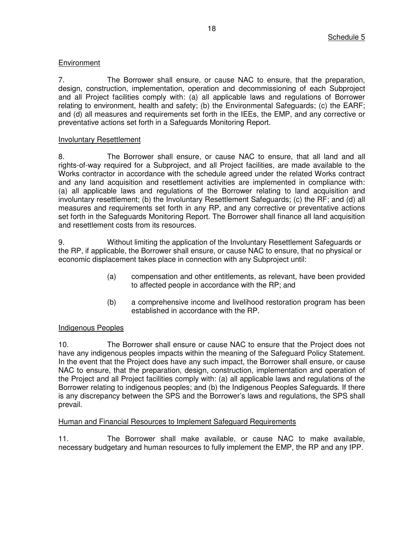# **Environment**

7. The Borrower shall ensure, or cause NAC to ensure, that the preparation, design, construction, implementation, operation and decommissioning of each Subproject and all Project facilities comply with: (a) all applicable laws and regulations of Borrower relating to environment, health and safety; (b) the Environmental Safeguards; (c) the EARF; and (d) all measures and requirements set forth in the IEEs, the EMP, and any corrective or preventative actions set forth in a Safeguards Monitoring Report.

## Involuntary Resettlement

8. The Borrower shall ensure, or cause NAC to ensure, that all land and all rights-of-way required for a Subproject, and all Project facilities, are made available to the Works contractor in accordance with the schedule agreed under the related Works contract and any land acquisition and resettlement activities are implemented in compliance with: (a) all applicable laws and regulations of the Borrower relating to land acquisition and involuntary resettlement; (b) the Involuntary Resettlement Safeguards; (c) the RF; and (d) all measures and requirements set forth in any RP, and any corrective or preventative actions set forth in the Safeguards Monitoring Report. The Borrower shall finance all land acquisition and resettlement costs from its resources.

9. Without limiting the application of the Involuntary Resettlement Safeguards or the RP, if applicable, the Borrower shall ensure, or cause NAC to ensure, that no physical or economic displacement takes place in connection with any Subproject until:

- (a) compensation and other entitlements, as relevant, have been provided to affected people in accordance with the RP; and
- (b) a comprehensive income and livelihood restoration program has been established in accordance with the RP.

## Indigenous Peoples

10. The Borrower shall ensure or cause NAC to ensure that the Project does not have any indigenous peoples impacts within the meaning of the Safeguard Policy Statement. In the event that the Project does have any such impact, the Borrower shall ensure, or cause NAC to ensure, that the preparation, design, construction, implementation and operation of the Project and all Project facilities comply with: (a) all applicable laws and regulations of the Borrower relating to indigenous peoples; and (b) the Indigenous Peoples Safeguards. If there is any discrepancy between the SPS and the Borrower's laws and regulations, the SPS shall prevail.

## Human and Financial Resources to Implement Safeguard Requirements

11. The Borrower shall make available, or cause NAC to make available, necessary budgetary and human resources to fully implement the EMP, the RP and any IPP.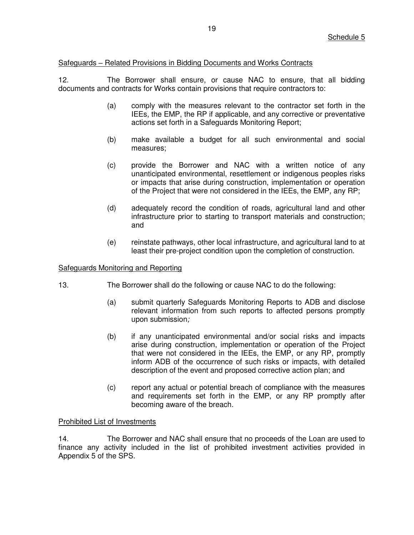### Safeguards – Related Provisions in Bidding Documents and Works Contracts

12. The Borrower shall ensure, or cause NAC to ensure, that all bidding documents and contracts for Works contain provisions that require contractors to:

- (a) comply with the measures relevant to the contractor set forth in the IEEs, the EMP, the RP if applicable, and any corrective or preventative actions set forth in a Safeguards Monitoring Report;
- (b) make available a budget for all such environmental and social measures;
- (c) provide the Borrower and NAC with a written notice of any unanticipated environmental, resettlement or indigenous peoples risks or impacts that arise during construction, implementation or operation of the Project that were not considered in the IEEs, the EMP, any RP;
- (d) adequately record the condition of roads, agricultural land and other infrastructure prior to starting to transport materials and construction; and
- (e) reinstate pathways, other local infrastructure, and agricultural land to at least their pre-project condition upon the completion of construction.

### Safeguards Monitoring and Reporting

- 13. The Borrower shall do the following or cause NAC to do the following:
	- (a) submit quarterly Safeguards Monitoring Reports to ADB and disclose relevant information from such reports to affected persons promptly upon submission*;*
	- (b) if any unanticipated environmental and/or social risks and impacts arise during construction, implementation or operation of the Project that were not considered in the IEEs, the EMP, or any RP, promptly inform ADB of the occurrence of such risks or impacts, with detailed description of the event and proposed corrective action plan; and
	- (c) report any actual or potential breach of compliance with the measures and requirements set forth in the EMP, or any RP promptly after becoming aware of the breach.

### Prohibited List of Investments

14. The Borrower and NAC shall ensure that no proceeds of the Loan are used to finance any activity included in the list of prohibited investment activities provided in Appendix 5 of the SPS.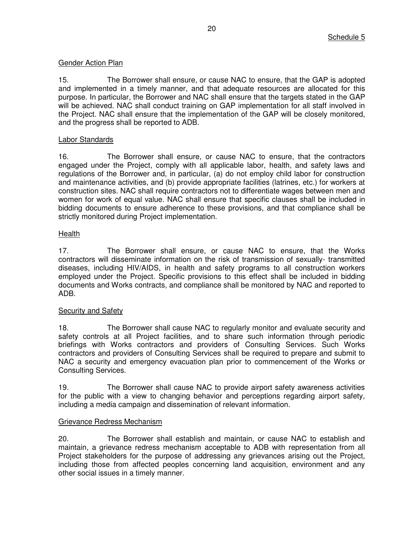## Gender Action Plan

15. The Borrower shall ensure, or cause NAC to ensure, that the GAP is adopted and implemented in a timely manner, and that adequate resources are allocated for this purpose. In particular, the Borrower and NAC shall ensure that the targets stated in the GAP will be achieved. NAC shall conduct training on GAP implementation for all staff involved in the Project. NAC shall ensure that the implementation of the GAP will be closely monitored, and the progress shall be reported to ADB.

## Labor Standards

16. The Borrower shall ensure, or cause NAC to ensure, that the contractors engaged under the Project, comply with all applicable labor, health, and safety laws and regulations of the Borrower and, in particular, (a) do not employ child labor for construction and maintenance activities, and (b) provide appropriate facilities (latrines, etc.) for workers at construction sites. NAC shall require contractors not to differentiate wages between men and women for work of equal value. NAC shall ensure that specific clauses shall be included in bidding documents to ensure adherence to these provisions, and that compliance shall be strictly monitored during Project implementation.

# Health

17. The Borrower shall ensure, or cause NAC to ensure, that the Works contractors will disseminate information on the risk of transmission of sexually- transmitted diseases, including HIV/AIDS, in health and safety programs to all construction workers employed under the Project. Specific provisions to this effect shall be included in bidding documents and Works contracts, and compliance shall be monitored by NAC and reported to ADB.

## **Security and Safety**

18. The Borrower shall cause NAC to regularly monitor and evaluate security and safety controls at all Project facilities, and to share such information through periodic briefings with Works contractors and providers of Consulting Services. Such Works contractors and providers of Consulting Services shall be required to prepare and submit to NAC a security and emergency evacuation plan prior to commencement of the Works or Consulting Services.

19. The Borrower shall cause NAC to provide airport safety awareness activities for the public with a view to changing behavior and perceptions regarding airport safety, including a media campaign and dissemination of relevant information.

## Grievance Redress Mechanism

20. The Borrower shall establish and maintain, or cause NAC to establish and maintain, a grievance redress mechanism acceptable to ADB with representation from all Project stakeholders for the purpose of addressing any grievances arising out the Project, including those from affected peoples concerning land acquisition, environment and any other social issues in a timely manner.